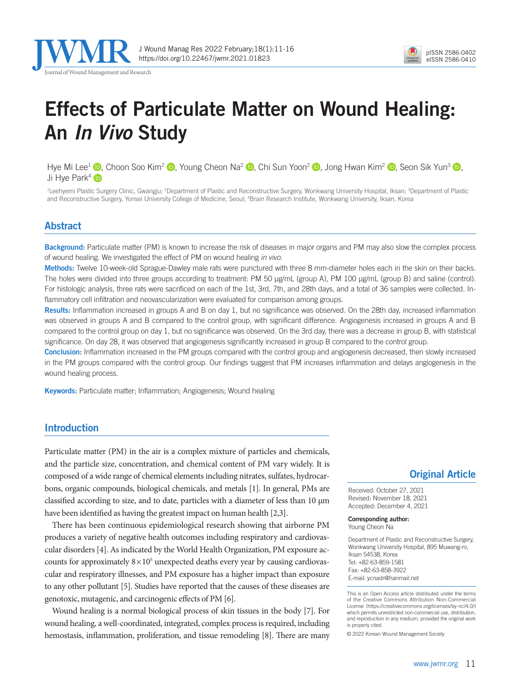

# Effects of Particulate Matter on Wound Healing: An *In Vivo* Study

Hye Mi Lee<sup>1</sup> **.** Choon Soo Kim<sup>2</sup> **.** Young Cheon Na<sup>2</sup> **.** Chi Sun Yoon<sup>2</sup> **.** Jong Hwan Kim<sup>2</sup> **.** Seon Sik Yun<sup>3</sup> **.** Ji Hye Park<sup>4</sup>

<sup>1</sup>Leehyemi Plastic Surgery Clinic, Gwangju; <sup>2</sup>Department of Plastic and Reconstructive Surgery, Wonkwang University Hospital, Iksan; <sup>3</sup>Department of Plastic and Reconstructive Surgery, Yonsei University College of Medicine, Seoul; <sup>4</sup>Brain Research Institute, Wonkwang University, Iksan, Korea

## Abstract

Background: Particulate matter (PM) is known to increase the risk of diseases in major organs and PM may also slow the complex process of wound healing. We investigated the effect of PM on wound healing *in vivo*.

Methods: Twelve 10-week-old Sprague-Dawley male rats were punctured with three 8 mm-diameter holes each in the skin on their backs. The holes were divided into three groups according to treatment: PM 50 µg/mL (group A), PM 100 µg/mL (group B) and saline (control). For histologic analysis, three rats were sacrificed on each of the 1st, 3rd, 7th, and 28th days, and a total of 36 samples were collected. Inflammatory cell infiltration and neovascularization were evaluated for comparison among groups.

Results: Inflammation increased in groups A and B on day 1, but no significance was observed. On the 28th day, increased inflammation was observed in groups A and B compared to the control group, with significant difference. Angiogenesis increased in groups A and B compared to the control group on day 1, but no significance was observed. On the 3rd day, there was a decrease in group B, with statistical significance. On day 28, it was observed that angiogenesis significantly increased in group B compared to the control group.

Conclusion: Inflammation increased in the PM groups compared with the control group and angiogenesis decreased, then slowly increased in the PM groups compared with the control group. Our findings suggest that PM increases inflammation and delays angiogenesis in the wound healing process.

**Keywords:** Particulate matter; Inflammation; Angiogenesis; Wound healing

### Introduction

Particulate matter (PM) in the air is a complex mixture of particles and chemicals, and the particle size, concentration, and chemical content of PM vary widely. It is composed of a wide range of chemical elements including nitrates, sulfates, hydrocarbons, organic compounds, biological chemicals, and metals [1]. In general, PMs are classified according to size, and to date, particles with a diameter of less than 10  $\mu$ m have been identified as having the greatest impact on human health [2,3].

There has been continuous epidemiological research showing that airborne PM produces a variety of negative health outcomes including respiratory and cardiovascular disorders [4]. As indicated by the World Health Organization, PM exposure accounts for approximately  $8 \times 10^5$  unexpected deaths every year by causing cardiovascular and respiratory illnesses, and PM exposure has a higher impact than exposure to any other pollutant [5]. Studies have reported that the causes of these diseases are genotoxic, mutagenic, and carcinogenic effects of PM [6].

Wound healing is a normal biological process of skin tissues in the body [7]. For wound healing, a well-coordinated, integrated, complex process is required, including hemostasis, inflammation, proliferation, and tissue remodeling [8]. There are many

#### Original Article

Received: October 27, 2021 Revised: November 18, 2021 Accepted: December 4, 2021

Corresponding author: Young Cheon Na

Department of Plastic and Reconstructive Surgery, Wonkwang University Hospital, 895 Muwang-ro, Iksan 54538, Korea Tel: +82-63-859-1581 Fax: +82-63-858-3922 E-mail: ycnadr@hanmail.net

This is an Open Access article distributed under the terms of the Creative Commons Attribution Non-Commercial License (https://creativecommons.org/licenses/by-nc/4.0/) which permits unrestricted non-commercial use, distribution, and reproduction in any medium, provided the original work is properly cited.

© 2022 Korean Wound Management Society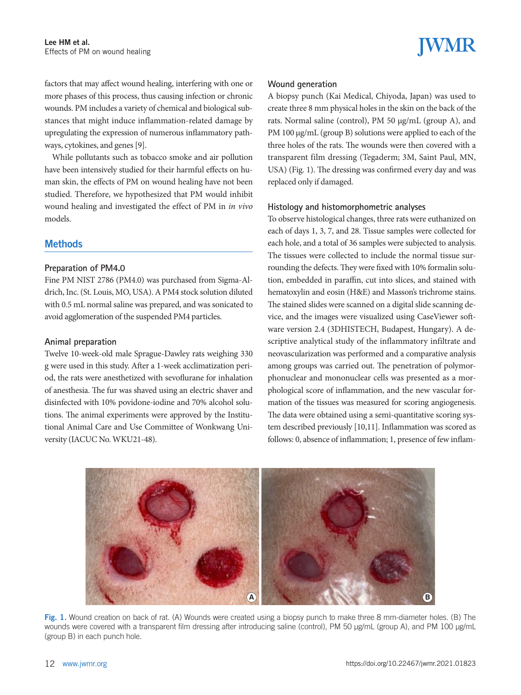

factors that may affect wound healing, interfering with one or more phases of this process, thus causing infection or chronic wounds. PM includes a variety of chemical and biological substances that might induce inflammation-related damage by upregulating the expression of numerous inflammatory pathways, cytokines, and genes [9].

While pollutants such as tobacco smoke and air pollution have been intensively studied for their harmful effects on human skin, the effects of PM on wound healing have not been studied. Therefore, we hypothesized that PM would inhibit wound healing and investigated the effect of PM in *in vivo* models.

## **Methods**

#### **Preparation of PM4.0**

Fine PM NIST 2786 (PM4.0) was purchased from Sigma-Aldrich, Inc. (St. Louis, MO, USA). A PM4 stock solution diluted with 0.5 mL normal saline was prepared, and was sonicated to avoid agglomeration of the suspended PM4 particles.

#### **Animal preparation**

Twelve 10-week-old male Sprague-Dawley rats weighing 330 g were used in this study. After a 1-week acclimatization period, the rats were anesthetized with sevoflurane for inhalation of anesthesia. The fur was shaved using an electric shaver and disinfected with 10% povidone-iodine and 70% alcohol solutions. The animal experiments were approved by the Institutional Animal Care and Use Committee of Wonkwang University (IACUC No. WKU21-48).

#### **Wound generation**

A biopsy punch (Kai Medical, Chiyoda, Japan) was used to create three 8 mm physical holes in the skin on the back of the rats. Normal saline (control), PM 50 µg/mL (group A), and PM 100  $\mu$ g/mL (group B) solutions were applied to each of the three holes of the rats. The wounds were then covered with a transparent film dressing (Tegaderm; 3M, Saint Paul, MN, USA) (Fig. 1). The dressing was confirmed every day and was replaced only if damaged.

#### **Histology and histomorphometric analyses**

To observe histological changes, three rats were euthanized on each of days 1, 3, 7, and 28. Tissue samples were collected for each hole, and a total of 36 samples were subjected to analysis. The tissues were collected to include the normal tissue surrounding the defects. They were fixed with 10% formalin solution, embedded in paraffin, cut into slices, and stained with hematoxylin and eosin (H&E) and Masson's trichrome stains. The stained slides were scanned on a digital slide scanning device, and the images were visualized using CaseViewer software version 2.4 (3DHISTECH, Budapest, Hungary). A descriptive analytical study of the inflammatory infiltrate and neovascularization was performed and a comparative analysis among groups was carried out. The penetration of polymorphonuclear and mononuclear cells was presented as a morphological score of inflammation, and the new vascular formation of the tissues was measured for scoring angiogenesis. The data were obtained using a semi-quantitative scoring system described previously [10,11]. Inflammation was scored as follows: 0, absence of inflammation; 1, presence of few inflam-



Fig. 1. Wound creation on back of rat. (A) Wounds were created using a biopsy punch to make three 8 mm-diameter holes. (B) The wounds were covered with a transparent film dressing after introducing saline (control), PM 50 µg/mL (group A), and PM 100 µg/mL (group B) in each punch hole.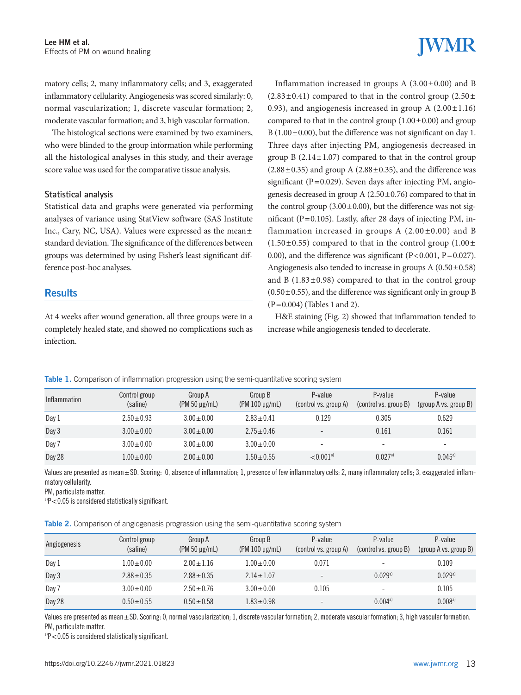matory cells; 2, many inflammatory cells; and 3, exaggerated inflammatory cellularity. Angiogenesis was scored similarly: 0, normal vascularization; 1, discrete vascular formation; 2, moderate vascular formation; and 3, high vascular formation.

The histological sections were examined by two examiners, who were blinded to the group information while performing all the histological analyses in this study, and their average score value was used for the comparative tissue analysis.

#### **Statistical analysis**

Statistical data and graphs were generated via performing analyses of variance using StatView software (SAS Institute Inc., Cary, NC, USA). Values were expressed as the mean± standard deviation. The significance of the differences between groups was determined by using Fisher's least significant difference post-hoc analyses.

## **Results**

At 4 weeks after wound generation, all three groups were in a completely healed state, and showed no complications such as infection.

Inflammation increased in groups A  $(3.00\pm0.00)$  and B  $(2.83\pm0.41)$  compared to that in the control group  $(2.50\pm$ 0.93), and angiogenesis increased in group A  $(2.00 \pm 1.16)$ compared to that in the control group  $(1.00\pm0.00)$  and group B (1.00±0.00), but the difference was not significant on day 1. Three days after injecting PM, angiogenesis decreased in group B  $(2.14 \pm 1.07)$  compared to that in the control group  $(2.88\pm0.35)$  and group A  $(2.88\pm0.35)$ , and the difference was significant ( $P=0.029$ ). Seven days after injecting PM, angiogenesis decreased in group A  $(2.50 \pm 0.76)$  compared to that in the control group ( $3.00\pm0.00$ ), but the difference was not significant ( $P=0.105$ ). Lastly, after 28 days of injecting PM, inflammation increased in groups  $A(2.00\pm0.00)$  and B  $(1.50\pm0.55)$  compared to that in the control group  $(1.00\pm$ 0.00), and the difference was significant (P<0.001, P=0.027). Angiogenesis also tended to increase in groups  $A(0.50\pm0.58)$ and B  $(1.83\pm0.98)$  compared to that in the control group  $(0.50\pm0.55)$ , and the difference was significant only in group B (P=0.004) (Tables 1 and 2).

H&E staining (Fig. 2) showed that inflammation tended to increase while angiogenesis tended to decelerate.

|  | Table 1. Comparison of inflammation progression using the semi-quantitative scoring system |  |  |  |  |
|--|--------------------------------------------------------------------------------------------|--|--|--|--|
|  |                                                                                            |  |  |  |  |

| Inflammation | Control group<br>(saline) | Group A<br>$(PM 50 \mu g/mL)$ | Group B<br>$(PM 100 \mu g/mL)$ | P-value<br>(control vs. group A) | P-value<br>(control vs. group B) | P-value<br>(group A vs. group B) |
|--------------|---------------------------|-------------------------------|--------------------------------|----------------------------------|----------------------------------|----------------------------------|
| Day 1        | $2.50 \pm 0.93$           | $3.00 \pm 0.00$               | $2.83 + 0.41$                  | 0.129                            | 0.305                            | 0.629                            |
| Day 3        | $3.00 \pm 0.00$           | $3.00 \pm 0.00$               | $2.75 \pm 0.46$                | $\overline{\phantom{0}}$         | 0.161                            | 0.161                            |
| Day 7        | $3.00 \pm 0.00$           | $3.00 \pm 0.00$               | $3.00 \pm 0.00$                | $\overline{\phantom{a}}$         | $\overline{\phantom{0}}$         | $\overline{\phantom{0}}$         |
| Day 28       | $1.00 \pm 0.00$           | $2.00 \pm 0.00$               | $1.50 \pm 0.55$                | < 0.001a                         | 0.027a                           | 0.045a)                          |

Values are presented as mean $\pm$ SD. Scoring: 0, absence of inflammation; 1, presence of few inflammatory cells; 2, many inflammatory cells; 3, exaggerated inflammatory cellularity.

PM, particulate matter.

 $a$ <sup> $p$ </sup> $<$  0.05 is considered statistically significant.

Table 2. Comparison of angiogenesis progression using the semi-quantitative scoring system

| Angiogenesis | Control group<br>(saline) | Group A<br>$(PM 50 \mu g/mL)$ | Group B<br>$(PM 100 \mu g/mL)$ | P-value<br>(control vs. group A) | P-value<br>(control vs. group B) | P-value<br>(group A vs. group B) |
|--------------|---------------------------|-------------------------------|--------------------------------|----------------------------------|----------------------------------|----------------------------------|
| Day 1        | $1.00 \pm 0.00$           | $2.00 \pm 1.16$               | $1.00 \pm 0.00$                | 0.071                            | -                                | 0.109                            |
| Day 3        | $2.88 \pm 0.35$           | $2.88 \pm 0.35$               | $2.14 \pm 1.07$                | $-$                              | 0.029a                           | 0.029a)                          |
| Day 7        | $3.00 \pm 0.00$           | $2.50 \pm 0.76$               | $3.00 \pm 0.00$                | 0.105                            | -                                | 0.105                            |
| Day 28       | $0.50 \pm 0.55$           | $0.50 \pm 0.58$               | $1.83 \pm 0.98$                | $\overline{\phantom{0}}$         | 0.004a                           | 0.008a)                          |

Values are presented as mean±SD. Scoring: 0, normal vascularization; 1, discrete vascular formation; 2, moderate vascular formation; 3, high vascular formation. PM, particulate matter.

a)P<0.05 is considered statistically significant.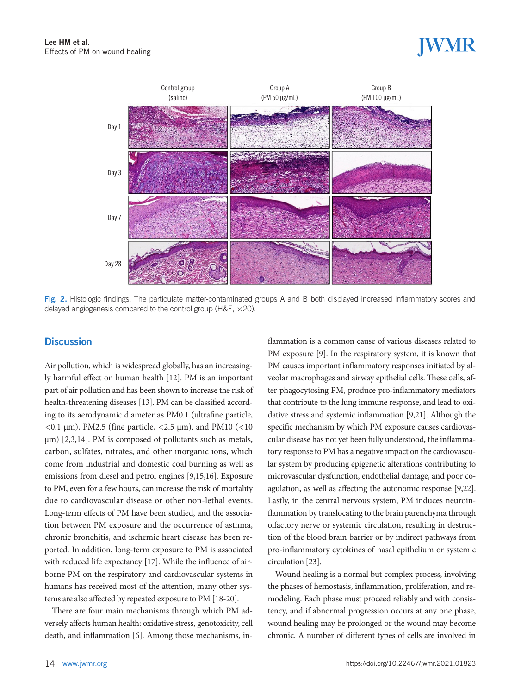



Fig. 2. Histologic findings. The particulate matter-contaminated groups A and B both displayed increased inflammatory scores and delayed angiogenesis compared to the control group ( $H&E, x20$ ).

## **Discussion**

Air pollution, which is widespread globally, has an increasingly harmful effect on human health [12]. PM is an important part of air pollution and has been shown to increase the risk of health-threatening diseases [13]. PM can be classified according to its aerodynamic diameter as PM0.1 (ultrafine particle,  $<$  0.1  $\mu$ m), PM2.5 (fine particle,  $<$  2.5  $\mu$ m), and PM10 ( $<$  10  $\mu$ m) [2,3,14]. PM is composed of pollutants such as metals, carbon, sulfates, nitrates, and other inorganic ions, which come from industrial and domestic coal burning as well as emissions from diesel and petrol engines [9,15,16]. Exposure to PM, even for a few hours, can increase the risk of mortality due to cardiovascular disease or other non-lethal events. Long-term effects of PM have been studied, and the association between PM exposure and the occurrence of asthma, chronic bronchitis, and ischemic heart disease has been reported. In addition, long-term exposure to PM is associated with reduced life expectancy [17]. While the influence of airborne PM on the respiratory and cardiovascular systems in humans has received most of the attention, many other systems are also affected by repeated exposure to PM [18-20].

There are four main mechanisms through which PM adversely affects human health: oxidative stress, genotoxicity, cell death, and inflammation [6]. Among those mechanisms, in-

flammation is a common cause of various diseases related to PM exposure [9]. In the respiratory system, it is known that PM causes important inflammatory responses initiated by alveolar macrophages and airway epithelial cells. These cells, after phagocytosing PM, produce pro-inflammatory mediators that contribute to the lung immune response, and lead to oxidative stress and systemic inflammation [9,21]. Although the specific mechanism by which PM exposure causes cardiovascular disease has not yet been fully understood, the inflammatory response to PM has a negative impact on the cardiovascular system by producing epigenetic alterations contributing to microvascular dysfunction, endothelial damage, and poor coagulation, as well as affecting the autonomic response [9,22]. Lastly, in the central nervous system, PM induces neuroinflammation by translocating to the brain parenchyma through olfactory nerve or systemic circulation, resulting in destruction of the blood brain barrier or by indirect pathways from pro-inflammatory cytokines of nasal epithelium or systemic circulation [23].

Wound healing is a normal but complex process, involving the phases of hemostasis, inflammation, proliferation, and remodeling. Each phase must proceed reliably and with consistency, and if abnormal progression occurs at any one phase, wound healing may be prolonged or the wound may become chronic. A number of different types of cells are involved in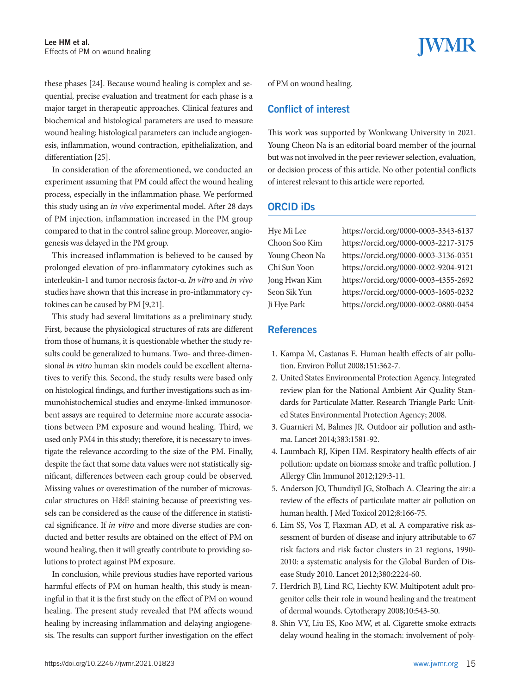these phases [24]. Because wound healing is complex and sequential, precise evaluation and treatment for each phase is a major target in therapeutic approaches. Clinical features and biochemical and histological parameters are used to measure wound healing; histological parameters can include angiogenesis, inflammation, wound contraction, epithelialization, and differentiation [25].

In consideration of the aforementioned, we conducted an experiment assuming that PM could affect the wound healing process, especially in the inflammation phase. We performed this study using an *in vivo* experimental model. After 28 days of PM injection, inflammation increased in the PM group compared to that in the control saline group. Moreover, angiogenesis was delayed in the PM group.

This increased inflammation is believed to be caused by prolonged elevation of pro-inflammatory cytokines such as interleukin-1 and tumor necrosis factor-α. *In vitro* and *in vivo* studies have shown that this increase in pro-inflammatory cytokines can be caused by PM [9,21].

This study had several limitations as a preliminary study. First, because the physiological structures of rats are different from those of humans, it is questionable whether the study results could be generalized to humans. Two- and three-dimensional *in vitro* human skin models could be excellent alternatives to verify this. Second, the study results were based only on histological findings, and further investigations such as immunohistochemical studies and enzyme-linked immunosorbent assays are required to determine more accurate associations between PM exposure and wound healing. Third, we used only PM4 in this study; therefore, it is necessary to investigate the relevance according to the size of the PM. Finally, despite the fact that some data values were not statistically significant, differences between each group could be observed. Missing values or overestimation of the number of microvascular structures on H&E staining because of preexisting vessels can be considered as the cause of the difference in statistical significance. If *in vitro* and more diverse studies are conducted and better results are obtained on the effect of PM on wound healing, then it will greatly contribute to providing solutions to protect against PM exposure.

In conclusion, while previous studies have reported various harmful effects of PM on human health, this study is meaningful in that it is the first study on the effect of PM on wound healing. The present study revealed that PM affects wound healing by increasing inflammation and delaying angiogenesis. The results can support further investigation on the effect of PM on wound healing.

## Conflict of interest

This work was supported by Wonkwang University in 2021. Young Cheon Na is an editorial board member of the journal but was not involved in the peer reviewer selection, evaluation, or decision process of this article. No other potential conflicts of interest relevant to this article were reported.

# ORCID iDs

Hye Mi Lee https://orcid.org/0000-0003-3343-6137 Choon Soo Kim https://orcid.org/0000-0003-2217-3175 Young Cheon Na https://orcid.org/0000-0003-3136-0351 Chi Sun Yoon https://orcid.org/0000-0002-9204-9121 Jong Hwan Kim https://orcid.org/0000-0003-4355-2692 Seon Sik Yun https://orcid.org/0000-0003-1605-0232 Ji Hye Park https://orcid.org/0000-0002-0880-0454

## **References**

- 1. Kampa M, Castanas E. Human health effects of air pollution. Environ Pollut 2008;151:362-7.
- 2. United States Environmental Protection Agency. Integrated review plan for the National Ambient Air Quality Standards for Particulate Matter. Research Triangle Park: United States Environmental Protection Agency; 2008.
- 3. Guarnieri M, Balmes JR. Outdoor air pollution and asthma. Lancet 2014;383:1581-92.
- 4. Laumbach RJ, Kipen HM. Respiratory health effects of air pollution: update on biomass smoke and traffic pollution. J Allergy Clin Immunol 2012;129:3-11.
- 5. Anderson JO, Thundiyil JG, Stolbach A. Clearing the air: a review of the effects of particulate matter air pollution on human health. J Med Toxicol 2012;8:166-75.
- 6. Lim SS, Vos T, Flaxman AD, et al. A comparative risk assessment of burden of disease and injury attributable to 67 risk factors and risk factor clusters in 21 regions, 1990- 2010: a systematic analysis for the Global Burden of Disease Study 2010. Lancet 2012;380:2224-60.
- 7. Herdrich BJ, Lind RC, Liechty KW. Multipotent adult progenitor cells: their role in wound healing and the treatment of dermal wounds. Cytotherapy 2008;10:543-50.
- 8. Shin VY, Liu ES, Koo MW, et al. Cigarette smoke extracts delay wound healing in the stomach: involvement of poly-